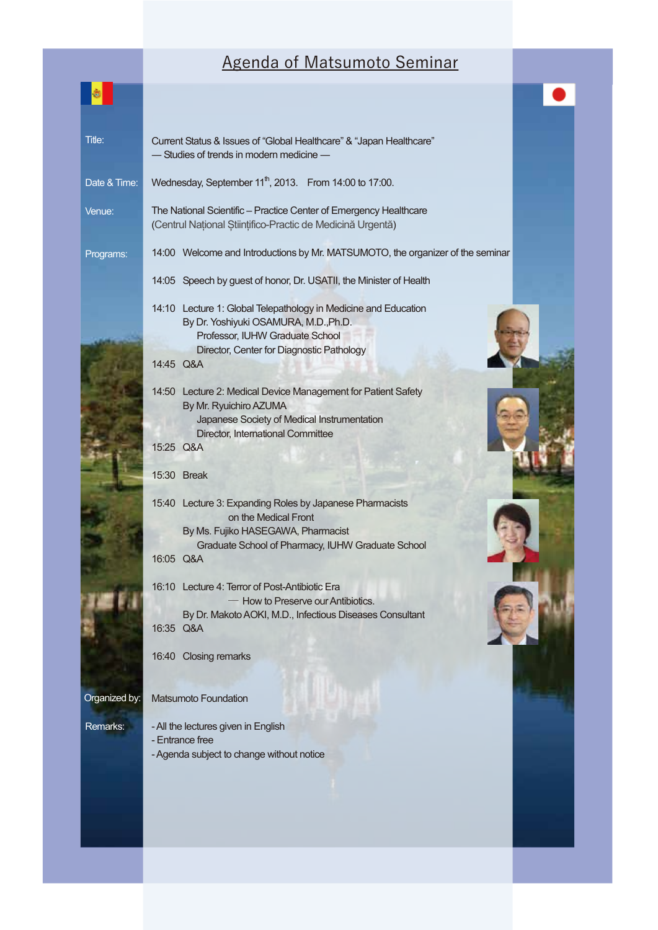## Agenda of Matsumoto Seminar